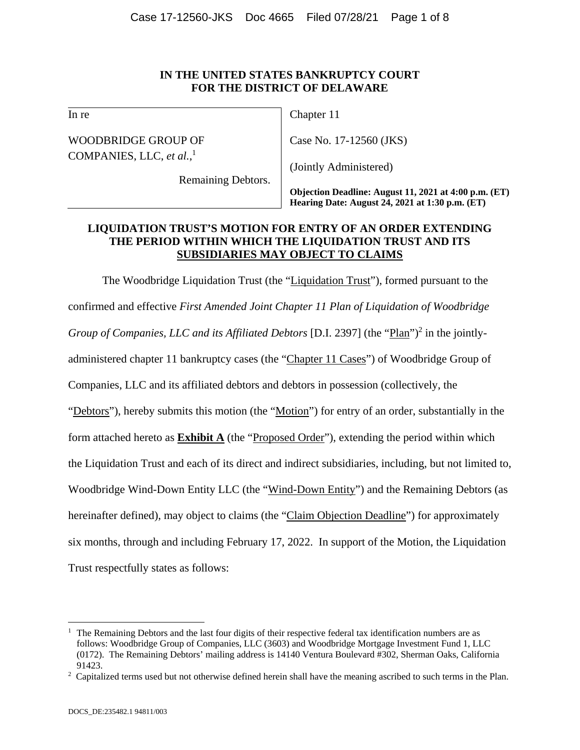## **IN THE UNITED STATES BANKRUPTCY COURT FOR THE DISTRICT OF DELAWARE**

In re

WOODBRIDGE GROUP OF COMPANIES, LLC, *et al.*, 1

Remaining Debtors.

Chapter 11

Case No. 17-12560 (JKS)

(Jointly Administered)

**Objection Deadline: August 11, 2021 at 4:00 p.m. (ET) Hearing Date: August 24, 2021 at 1:30 p.m. (ET)** 

# **LIQUIDATION TRUST'S MOTION FOR ENTRY OF AN ORDER EXTENDING THE PERIOD WITHIN WHICH THE LIQUIDATION TRUST AND ITS SUBSIDIARIES MAY OBJECT TO CLAIMS**

The Woodbridge Liquidation Trust (the "Liquidation Trust"), formed pursuant to the confirmed and effective *First Amended Joint Chapter 11 Plan of Liquidation of Woodbridge*  Group of Companies, LLC and its Affiliated Debtors [D.I. 2397] (the "Plan")<sup>2</sup> in the jointlyadministered chapter 11 bankruptcy cases (the "Chapter 11 Cases") of Woodbridge Group of Companies, LLC and its affiliated debtors and debtors in possession (collectively, the "Debtors"), hereby submits this motion (the "Motion") for entry of an order, substantially in the form attached hereto as **Exhibit A** (the "Proposed Order"), extending the period within which the Liquidation Trust and each of its direct and indirect subsidiaries, including, but not limited to, Woodbridge Wind-Down Entity LLC (the "Wind-Down Entity") and the Remaining Debtors (as hereinafter defined), may object to claims (the "Claim Objection Deadline") for approximately six months, through and including February 17, 2022. In support of the Motion, the Liquidation Trust respectfully states as follows:

<sup>1</sup> The Remaining Debtors and the last four digits of their respective federal tax identification numbers are as follows: Woodbridge Group of Companies, LLC (3603) and Woodbridge Mortgage Investment Fund 1, LLC (0172). The Remaining Debtors' mailing address is 14140 Ventura Boulevard #302, Sherman Oaks, California 91423.<br><sup>2</sup> Capitalized terms used but not otherwise defined herein shall have the meaning ascribed to such terms in the Plan.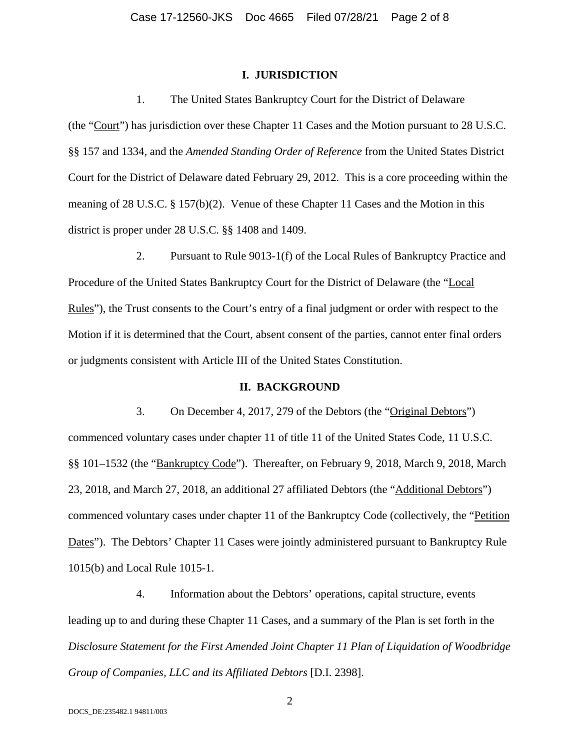## **I. JURISDICTION**

1. The United States Bankruptcy Court for the District of Delaware

(the "Court") has jurisdiction over these Chapter 11 Cases and the Motion pursuant to 28 U.S.C. §§ 157 and 1334, and the *Amended Standing Order of Reference* from the United States District Court for the District of Delaware dated February 29, 2012. This is a core proceeding within the meaning of 28 U.S.C. § 157(b)(2). Venue of these Chapter 11 Cases and the Motion in this district is proper under 28 U.S.C. §§ 1408 and 1409.

2. Pursuant to Rule 9013-1(f) of the Local Rules of Bankruptcy Practice and Procedure of the United States Bankruptcy Court for the District of Delaware (the "Local Rules"), the Trust consents to the Court's entry of a final judgment or order with respect to the Motion if it is determined that the Court, absent consent of the parties, cannot enter final orders or judgments consistent with Article III of the United States Constitution.

## **II. BACKGROUND**

3. On December 4, 2017, 279 of the Debtors (the "Original Debtors") commenced voluntary cases under chapter 11 of title 11 of the United States Code, 11 U.S.C. §§ 101–1532 (the "Bankruptcy Code"). Thereafter, on February 9, 2018, March 9, 2018, March 23, 2018, and March 27, 2018, an additional 27 affiliated Debtors (the "Additional Debtors") commenced voluntary cases under chapter 11 of the Bankruptcy Code (collectively, the "Petition Dates"). The Debtors' Chapter 11 Cases were jointly administered pursuant to Bankruptcy Rule 1015(b) and Local Rule 1015-1.

4. Information about the Debtors' operations, capital structure, events leading up to and during these Chapter 11 Cases, and a summary of the Plan is set forth in the *Disclosure Statement for the First Amended Joint Chapter 11 Plan of Liquidation of Woodbridge Group of Companies, LLC and its Affiliated Debtors* [D.I. 2398].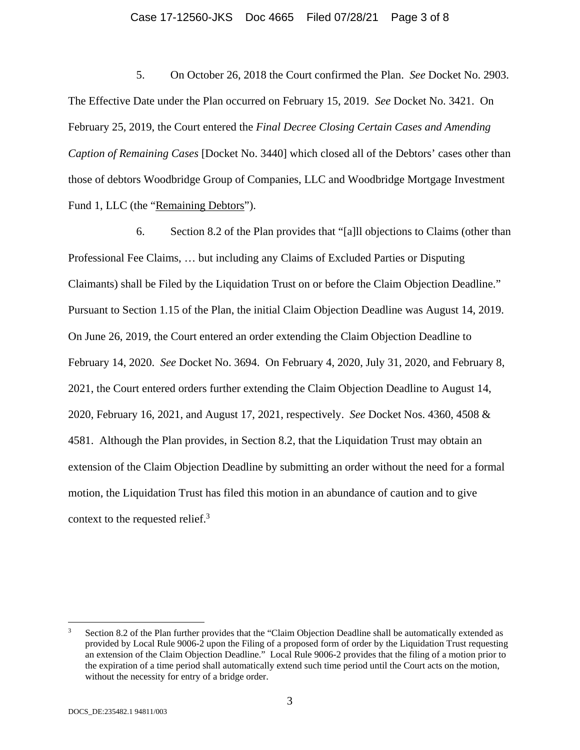#### Case 17-12560-JKS Doc 4665 Filed 07/28/21 Page 3 of 8

5. On October 26, 2018 the Court confirmed the Plan. *See* Docket No. 2903. The Effective Date under the Plan occurred on February 15, 2019. *See* Docket No. 3421. On February 25, 2019, the Court entered the *Final Decree Closing Certain Cases and Amending Caption of Remaining Cases* [Docket No. 3440] which closed all of the Debtors' cases other than those of debtors Woodbridge Group of Companies, LLC and Woodbridge Mortgage Investment Fund 1, LLC (the "Remaining Debtors").

6. Section 8.2 of the Plan provides that "[a]ll objections to Claims (other than Professional Fee Claims, … but including any Claims of Excluded Parties or Disputing Claimants) shall be Filed by the Liquidation Trust on or before the Claim Objection Deadline." Pursuant to Section 1.15 of the Plan, the initial Claim Objection Deadline was August 14, 2019. On June 26, 2019, the Court entered an order extending the Claim Objection Deadline to February 14, 2020. *See* Docket No. 3694. On February 4, 2020, July 31, 2020, and February 8, 2021, the Court entered orders further extending the Claim Objection Deadline to August 14, 2020, February 16, 2021, and August 17, 2021, respectively. *See* Docket Nos. 4360, 4508 & 4581. Although the Plan provides, in Section 8.2, that the Liquidation Trust may obtain an extension of the Claim Objection Deadline by submitting an order without the need for a formal motion, the Liquidation Trust has filed this motion in an abundance of caution and to give context to the requested relief.<sup>3</sup>

<sup>3</sup> Section 8.2 of the Plan further provides that the "Claim Objection Deadline shall be automatically extended as provided by Local Rule 9006-2 upon the Filing of a proposed form of order by the Liquidation Trust requesting an extension of the Claim Objection Deadline." Local Rule 9006-2 provides that the filing of a motion prior to the expiration of a time period shall automatically extend such time period until the Court acts on the motion, without the necessity for entry of a bridge order.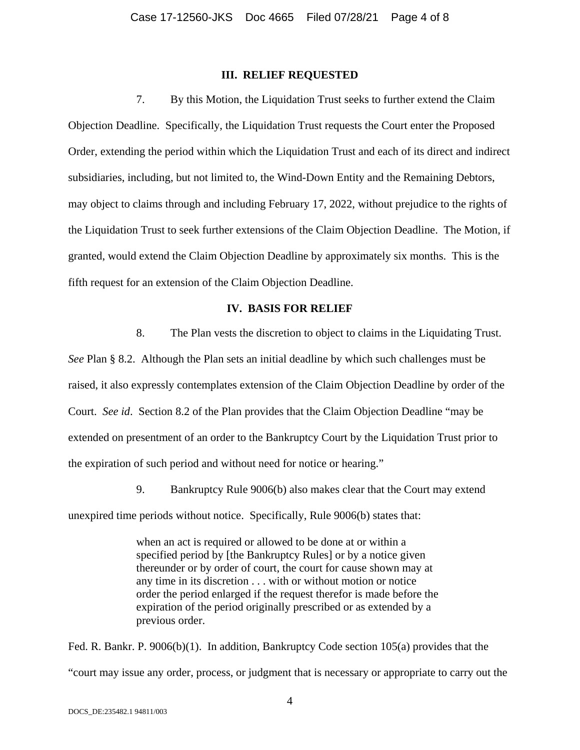#### **III. RELIEF REQUESTED**

7. By this Motion, the Liquidation Trust seeks to further extend the Claim Objection Deadline. Specifically, the Liquidation Trust requests the Court enter the Proposed Order, extending the period within which the Liquidation Trust and each of its direct and indirect subsidiaries, including, but not limited to, the Wind-Down Entity and the Remaining Debtors, may object to claims through and including February 17, 2022, without prejudice to the rights of the Liquidation Trust to seek further extensions of the Claim Objection Deadline. The Motion, if granted, would extend the Claim Objection Deadline by approximately six months. This is the fifth request for an extension of the Claim Objection Deadline.

## **IV. BASIS FOR RELIEF**

8. The Plan vests the discretion to object to claims in the Liquidating Trust.

*See* Plan § 8.2. Although the Plan sets an initial deadline by which such challenges must be raised, it also expressly contemplates extension of the Claim Objection Deadline by order of the Court. *See id*. Section 8.2 of the Plan provides that the Claim Objection Deadline "may be extended on presentment of an order to the Bankruptcy Court by the Liquidation Trust prior to the expiration of such period and without need for notice or hearing."

9. Bankruptcy Rule 9006(b) also makes clear that the Court may extend

unexpired time periods without notice. Specifically, Rule 9006(b) states that:

when an act is required or allowed to be done at or within a specified period by [the Bankruptcy Rules] or by a notice given thereunder or by order of court, the court for cause shown may at any time in its discretion . . . with or without motion or notice order the period enlarged if the request therefor is made before the expiration of the period originally prescribed or as extended by a previous order.

Fed. R. Bankr. P. 9006(b)(1). In addition, Bankruptcy Code section 105(a) provides that the "court may issue any order, process, or judgment that is necessary or appropriate to carry out the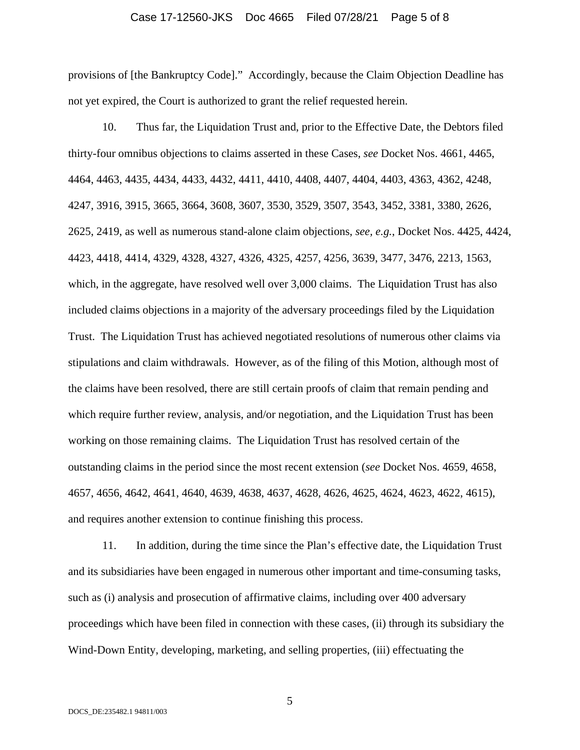#### Case 17-12560-JKS Doc 4665 Filed 07/28/21 Page 5 of 8

provisions of [the Bankruptcy Code]." Accordingly, because the Claim Objection Deadline has not yet expired, the Court is authorized to grant the relief requested herein.

10. Thus far, the Liquidation Trust and, prior to the Effective Date, the Debtors filed thirty-four omnibus objections to claims asserted in these Cases, *see* Docket Nos. 4661, 4465, 4464, 4463, 4435, 4434, 4433, 4432, 4411, 4410, 4408, 4407, 4404, 4403, 4363, 4362, 4248, 4247, 3916, 3915, 3665, 3664, 3608, 3607, 3530, 3529, 3507, 3543, 3452, 3381, 3380, 2626, 2625, 2419, as well as numerous stand-alone claim objections, *see, e.g.*, Docket Nos. 4425, 4424, 4423, 4418, 4414, 4329, 4328, 4327, 4326, 4325, 4257, 4256, 3639, 3477, 3476, 2213, 1563, which, in the aggregate, have resolved well over 3,000 claims. The Liquidation Trust has also included claims objections in a majority of the adversary proceedings filed by the Liquidation Trust. The Liquidation Trust has achieved negotiated resolutions of numerous other claims via stipulations and claim withdrawals. However, as of the filing of this Motion, although most of the claims have been resolved, there are still certain proofs of claim that remain pending and which require further review, analysis, and/or negotiation, and the Liquidation Trust has been working on those remaining claims. The Liquidation Trust has resolved certain of the outstanding claims in the period since the most recent extension (*see* Docket Nos. 4659, 4658, 4657, 4656, 4642, 4641, 4640, 4639, 4638, 4637, 4628, 4626, 4625, 4624, 4623, 4622, 4615), and requires another extension to continue finishing this process.

11. In addition, during the time since the Plan's effective date, the Liquidation Trust and its subsidiaries have been engaged in numerous other important and time-consuming tasks, such as (i) analysis and prosecution of affirmative claims, including over 400 adversary proceedings which have been filed in connection with these cases, (ii) through its subsidiary the Wind-Down Entity, developing, marketing, and selling properties, (iii) effectuating the

5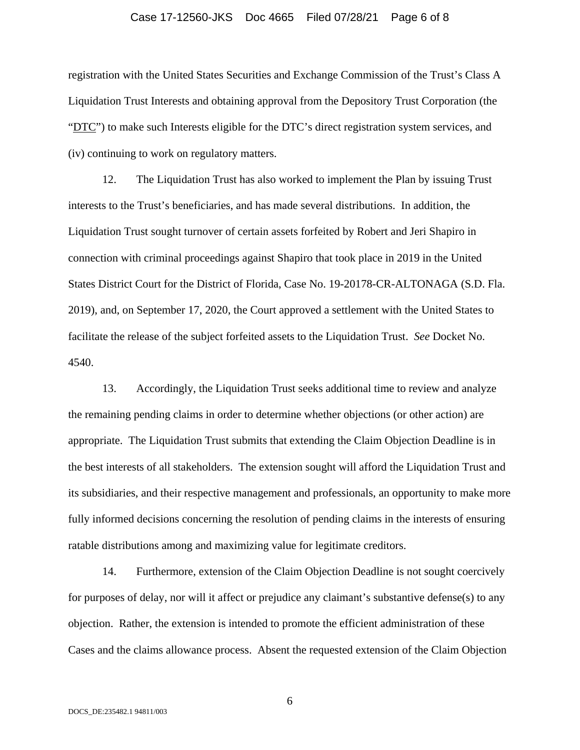#### Case 17-12560-JKS Doc 4665 Filed 07/28/21 Page 6 of 8

registration with the United States Securities and Exchange Commission of the Trust's Class A Liquidation Trust Interests and obtaining approval from the Depository Trust Corporation (the "DTC") to make such Interests eligible for the DTC's direct registration system services, and (iv) continuing to work on regulatory matters.

12. The Liquidation Trust has also worked to implement the Plan by issuing Trust interests to the Trust's beneficiaries, and has made several distributions. In addition, the Liquidation Trust sought turnover of certain assets forfeited by Robert and Jeri Shapiro in connection with criminal proceedings against Shapiro that took place in 2019 in the United States District Court for the District of Florida, Case No. 19-20178-CR-ALTONAGA (S.D. Fla. 2019), and, on September 17, 2020, the Court approved a settlement with the United States to facilitate the release of the subject forfeited assets to the Liquidation Trust. *See* Docket No. 4540.

13. Accordingly, the Liquidation Trust seeks additional time to review and analyze the remaining pending claims in order to determine whether objections (or other action) are appropriate. The Liquidation Trust submits that extending the Claim Objection Deadline is in the best interests of all stakeholders. The extension sought will afford the Liquidation Trust and its subsidiaries, and their respective management and professionals, an opportunity to make more fully informed decisions concerning the resolution of pending claims in the interests of ensuring ratable distributions among and maximizing value for legitimate creditors.

14. Furthermore, extension of the Claim Objection Deadline is not sought coercively for purposes of delay, nor will it affect or prejudice any claimant's substantive defense(s) to any objection. Rather, the extension is intended to promote the efficient administration of these Cases and the claims allowance process. Absent the requested extension of the Claim Objection

6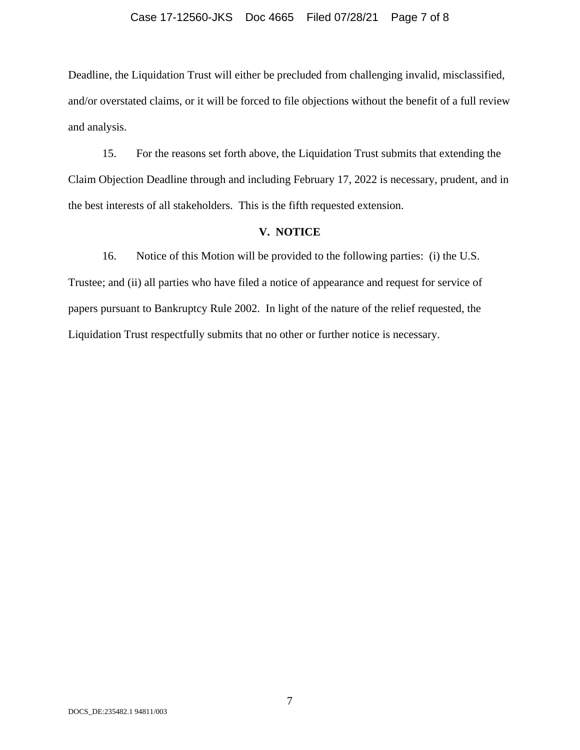#### Case 17-12560-JKS Doc 4665 Filed 07/28/21 Page 7 of 8

Deadline, the Liquidation Trust will either be precluded from challenging invalid, misclassified, and/or overstated claims, or it will be forced to file objections without the benefit of a full review and analysis.

15. For the reasons set forth above, the Liquidation Trust submits that extending the Claim Objection Deadline through and including February 17, 2022 is necessary, prudent, and in the best interests of all stakeholders. This is the fifth requested extension.

## **V. NOTICE**

16. Notice of this Motion will be provided to the following parties: (i) the U.S. Trustee; and (ii) all parties who have filed a notice of appearance and request for service of papers pursuant to Bankruptcy Rule 2002. In light of the nature of the relief requested, the Liquidation Trust respectfully submits that no other or further notice is necessary.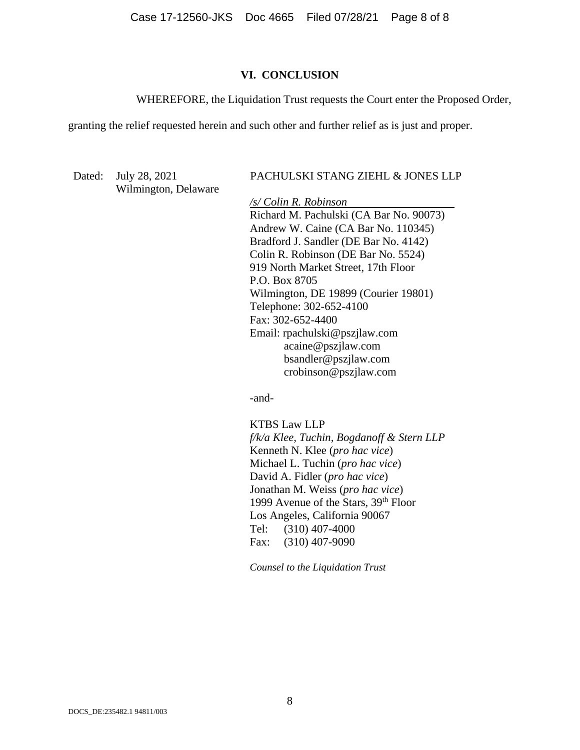Case 17-12560-JKS Doc 4665 Filed 07/28/21 Page 8 of 8

#### **VI. CONCLUSION**

WHEREFORE, the Liquidation Trust requests the Court enter the Proposed Order,

granting the relief requested herein and such other and further relief as is just and proper.

Wilmington, Delaware

#### Dated: July 28, 2021 PACHULSKI STANG ZIEHL & JONES LLP

*/s/ Colin R. Robinson*  Richard M. Pachulski (CA Bar No. 90073) Andrew W. Caine (CA Bar No. 110345) Bradford J. Sandler (DE Bar No. 4142) Colin R. Robinson (DE Bar No. 5524) 919 North Market Street, 17th Floor P.O. Box 8705 Wilmington, DE 19899 (Courier 19801) Telephone: 302-652-4100 Fax: 302-652-4400 Email: rpachulski@pszjlaw.com acaine@pszjlaw.com bsandler@pszjlaw.com crobinson@pszjlaw.com

-and-

 KTBS Law LLP *f/k/a Klee, Tuchin, Bogdanoff & Stern LLP*  Kenneth N. Klee (*pro hac vice*) Michael L. Tuchin (*pro hac vice*) David A. Fidler (*pro hac vice*) Jonathan M. Weiss (*pro hac vice*) 1999 Avenue of the Stars, 39<sup>th</sup> Floor Los Angeles, California 90067 Tel: (310) 407-4000 Fax: (310) 407-9090

*Counsel to the Liquidation Trust*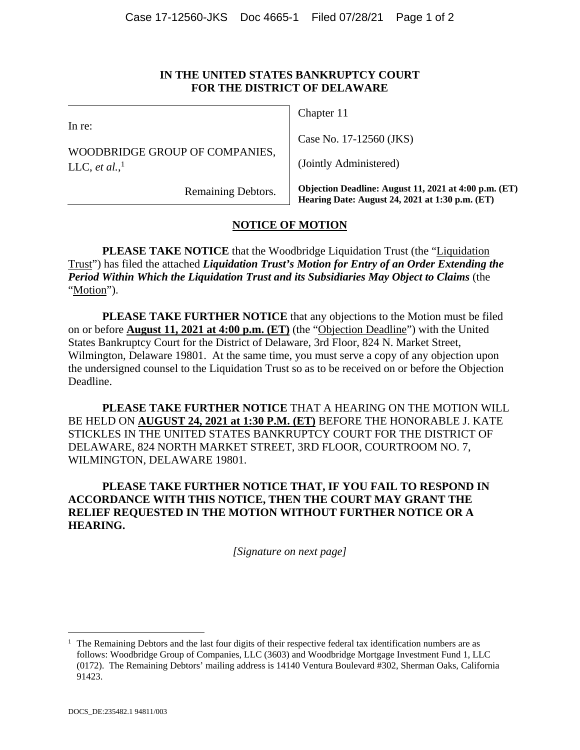## **IN THE UNITED STATES BANKRUPTCY COURT FOR THE DISTRICT OF DELAWARE**

In re:

WOODBRIDGE GROUP OF COMPANIES, LLC, *et al.*,<sup>1</sup>

Chapter 11

Case No. 17-12560 (JKS)

(Jointly Administered)

Remaining Debtors.

**Objection Deadline: August 11, 2021 at 4:00 p.m. (ET) Hearing Date: August 24, 2021 at 1:30 p.m. (ET)** 

# **NOTICE OF MOTION**

**PLEASE TAKE NOTICE** that the Woodbridge Liquidation Trust (the "Liquidation Trust") has filed the attached *Liquidation Trust's Motion for Entry of an Order Extending the Period Within Which the Liquidation Trust and its Subsidiaries May Object to Claims* (the "Motion").

**PLEASE TAKE FURTHER NOTICE** that any objections to the Motion must be filed on or before **August 11, 2021 at 4:00 p.m. (ET)** (the "Objection Deadline") with the United States Bankruptcy Court for the District of Delaware, 3rd Floor, 824 N. Market Street, Wilmington, Delaware 19801. At the same time, you must serve a copy of any objection upon the undersigned counsel to the Liquidation Trust so as to be received on or before the Objection Deadline.

**PLEASE TAKE FURTHER NOTICE** THAT A HEARING ON THE MOTION WILL BE HELD ON **AUGUST 24, 2021 at 1:30 P.M. (ET)** BEFORE THE HONORABLE J. KATE STICKLES IN THE UNITED STATES BANKRUPTCY COURT FOR THE DISTRICT OF DELAWARE, 824 NORTH MARKET STREET, 3RD FLOOR, COURTROOM NO. 7, WILMINGTON, DELAWARE 19801.

**PLEASE TAKE FURTHER NOTICE THAT, IF YOU FAIL TO RESPOND IN ACCORDANCE WITH THIS NOTICE, THEN THE COURT MAY GRANT THE RELIEF REQUESTED IN THE MOTION WITHOUT FURTHER NOTICE OR A HEARING.** 

*[Signature on next page]* 

<sup>1</sup> The Remaining Debtors and the last four digits of their respective federal tax identification numbers are as follows: Woodbridge Group of Companies, LLC (3603) and Woodbridge Mortgage Investment Fund 1, LLC (0172). The Remaining Debtors' mailing address is 14140 Ventura Boulevard #302, Sherman Oaks, California 91423.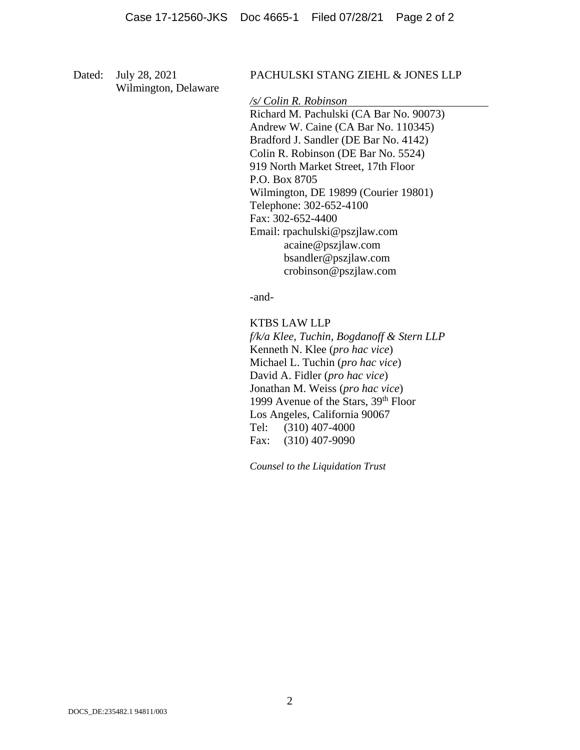Wilmington, Delaware

## Dated: July 28, 2021 PACHULSKI STANG ZIEHL & JONES LLP

*/s/ Colin R. Robinson* 

 Richard M. Pachulski (CA Bar No. 90073) Andrew W. Caine (CA Bar No. 110345) Bradford J. Sandler (DE Bar No. 4142) Colin R. Robinson (DE Bar No. 5524) 919 North Market Street, 17th Floor P.O. Box 8705 Wilmington, DE 19899 (Courier 19801) Telephone: 302-652-4100 Fax: 302-652-4400 Email: rpachulski@pszjlaw.com acaine@pszjlaw.com bsandler@pszjlaw.com crobinson@pszjlaw.com

-and-

KTBS LAW LLP

*f/k/a Klee, Tuchin, Bogdanoff & Stern LLP*  Kenneth N. Klee (*pro hac vice*) Michael L. Tuchin (*pro hac vice*) David A. Fidler (*pro hac vice*) Jonathan M. Weiss (*pro hac vice*) 1999 Avenue of the Stars, 39<sup>th</sup> Floor Los Angeles, California 90067 Tel: (310) 407-4000 Fax: (310) 407-9090

*Counsel to the Liquidation Trust*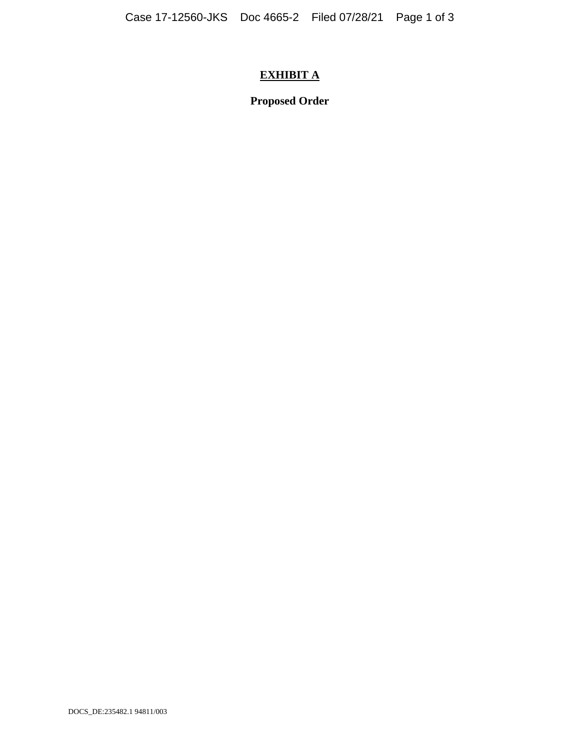# **EXHIBIT A**

**Proposed Order**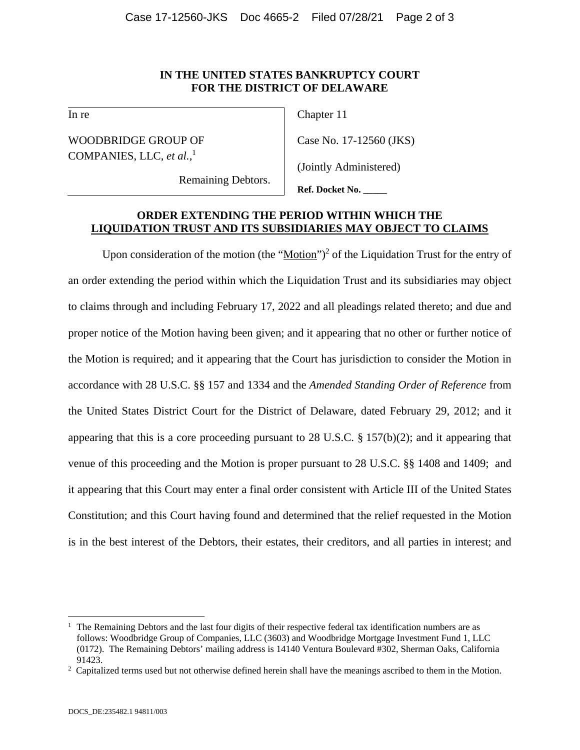## **IN THE UNITED STATES BANKRUPTCY COURT FOR THE DISTRICT OF DELAWARE**

In re

WOODBRIDGE GROUP OF COMPANIES, LLC, *et al.*, 1

Chapter 11

Case No. 17-12560 (JKS)

(Jointly Administered)

Remaining Debtors.

**Ref. Docket No. \_\_\_\_\_**

## **ORDER EXTENDING THE PERIOD WITHIN WHICH THE LIQUIDATION TRUST AND ITS SUBSIDIARIES MAY OBJECT TO CLAIMS**

Upon consideration of the motion (the " $Motion$ ")<sup>2</sup> of the Liquidation Trust for the entry of</u> an order extending the period within which the Liquidation Trust and its subsidiaries may object to claims through and including February 17, 2022 and all pleadings related thereto; and due and proper notice of the Motion having been given; and it appearing that no other or further notice of the Motion is required; and it appearing that the Court has jurisdiction to consider the Motion in accordance with 28 U.S.C. §§ 157 and 1334 and the *Amended Standing Order of Reference* from the United States District Court for the District of Delaware, dated February 29, 2012; and it appearing that this is a core proceeding pursuant to 28 U.S.C. § 157(b)(2); and it appearing that venue of this proceeding and the Motion is proper pursuant to 28 U.S.C. §§ 1408 and 1409; and it appearing that this Court may enter a final order consistent with Article III of the United States Constitution; and this Court having found and determined that the relief requested in the Motion is in the best interest of the Debtors, their estates, their creditors, and all parties in interest; and

<sup>1</sup> The Remaining Debtors and the last four digits of their respective federal tax identification numbers are as follows: Woodbridge Group of Companies, LLC (3603) and Woodbridge Mortgage Investment Fund 1, LLC (0172). The Remaining Debtors' mailing address is 14140 Ventura Boulevard #302, Sherman Oaks, California 91423.<br><sup>2</sup> Capitalized terms used but not otherwise defined herein shall have the meanings ascribed to them in the Motion.